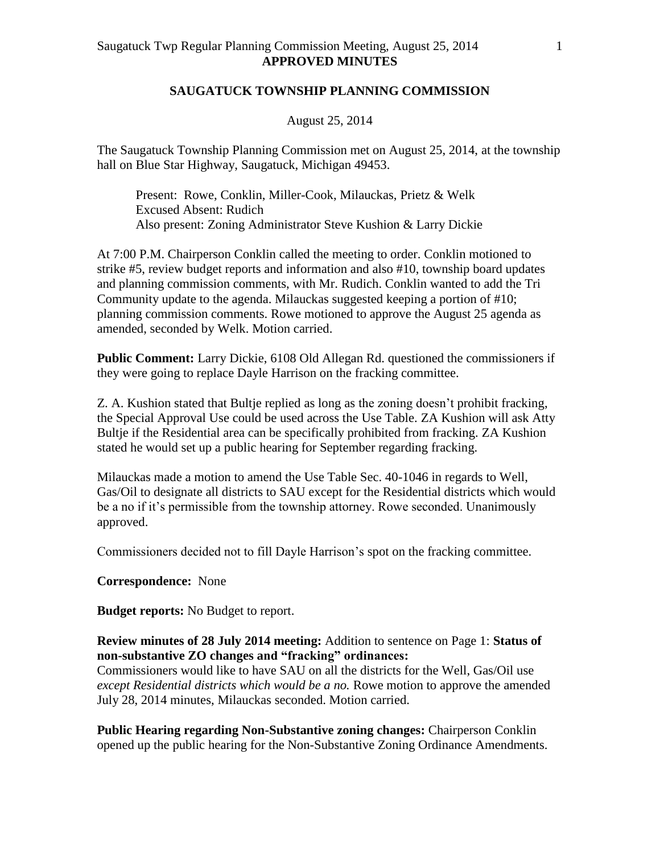## **SAUGATUCK TOWNSHIP PLANNING COMMISSION**

## August 25, 2014

The Saugatuck Township Planning Commission met on August 25, 2014, at the township hall on Blue Star Highway, Saugatuck, Michigan 49453.

Present: Rowe, Conklin, Miller-Cook, Milauckas, Prietz & Welk Excused Absent: Rudich Also present: Zoning Administrator Steve Kushion & Larry Dickie

At 7:00 P.M. Chairperson Conklin called the meeting to order. Conklin motioned to strike #5, review budget reports and information and also #10, township board updates and planning commission comments, with Mr. Rudich. Conklin wanted to add the Tri Community update to the agenda. Milauckas suggested keeping a portion of #10; planning commission comments. Rowe motioned to approve the August 25 agenda as amended, seconded by Welk. Motion carried.

**Public Comment:** Larry Dickie, 6108 Old Allegan Rd. questioned the commissioners if they were going to replace Dayle Harrison on the fracking committee.

Z. A. Kushion stated that Bultje replied as long as the zoning doesn't prohibit fracking, the Special Approval Use could be used across the Use Table. ZA Kushion will ask Atty Bultje if the Residential area can be specifically prohibited from fracking. ZA Kushion stated he would set up a public hearing for September regarding fracking.

Milauckas made a motion to amend the Use Table Sec. 40-1046 in regards to Well, Gas/Oil to designate all districts to SAU except for the Residential districts which would be a no if it's permissible from the township attorney. Rowe seconded. Unanimously approved.

Commissioners decided not to fill Dayle Harrison's spot on the fracking committee.

## **Correspondence:** None

**Budget reports:** No Budget to report.

**Review minutes of 28 July 2014 meeting:** Addition to sentence on Page 1: **Status of non-substantive ZO changes and "fracking" ordinances:**

Commissioners would like to have SAU on all the districts for the Well, Gas/Oil use *except Residential districts which would be a no.* Rowe motion to approve the amended July 28, 2014 minutes, Milauckas seconded. Motion carried.

**Public Hearing regarding Non-Substantive zoning changes:** Chairperson Conklin opened up the public hearing for the Non-Substantive Zoning Ordinance Amendments.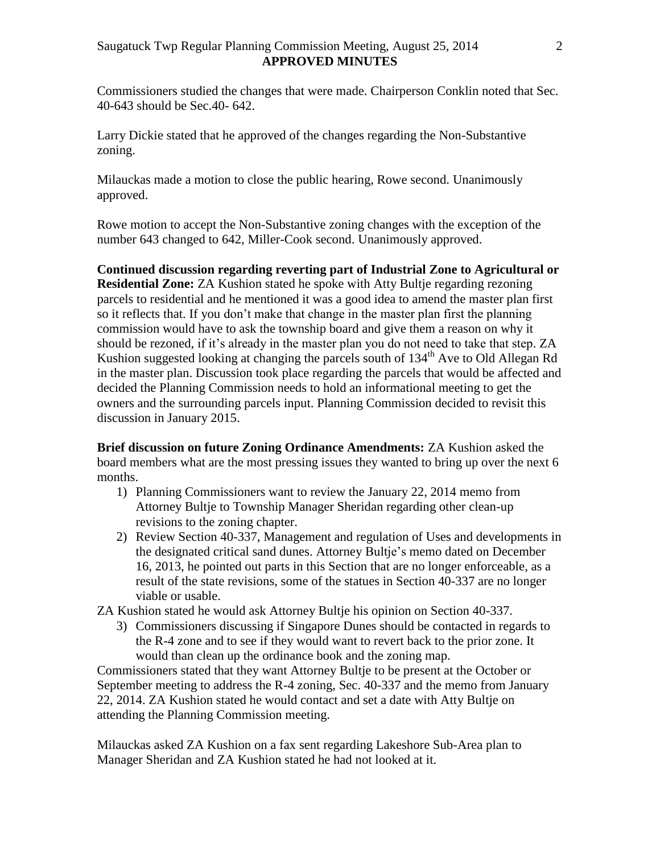Commissioners studied the changes that were made. Chairperson Conklin noted that Sec. 40-643 should be Sec.40- 642.

Larry Dickie stated that he approved of the changes regarding the Non-Substantive zoning.

Milauckas made a motion to close the public hearing, Rowe second. Unanimously approved.

Rowe motion to accept the Non-Substantive zoning changes with the exception of the number 643 changed to 642, Miller-Cook second. Unanimously approved.

**Continued discussion regarding reverting part of Industrial Zone to Agricultural or Residential Zone:** ZA Kushion stated he spoke with Atty Bultje regarding rezoning parcels to residential and he mentioned it was a good idea to amend the master plan first so it reflects that. If you don't make that change in the master plan first the planning commission would have to ask the township board and give them a reason on why it should be rezoned, if it's already in the master plan you do not need to take that step. ZA Kushion suggested looking at changing the parcels south of  $134<sup>th</sup>$  Ave to Old Allegan Rd in the master plan. Discussion took place regarding the parcels that would be affected and decided the Planning Commission needs to hold an informational meeting to get the owners and the surrounding parcels input. Planning Commission decided to revisit this discussion in January 2015.

**Brief discussion on future Zoning Ordinance Amendments:** ZA Kushion asked the board members what are the most pressing issues they wanted to bring up over the next 6 months.

- 1) Planning Commissioners want to review the January 22, 2014 memo from Attorney Bultje to Township Manager Sheridan regarding other clean-up revisions to the zoning chapter.
- 2) Review Section 40-337, Management and regulation of Uses and developments in the designated critical sand dunes. Attorney Bultje's memo dated on December 16, 2013, he pointed out parts in this Section that are no longer enforceable, as a result of the state revisions, some of the statues in Section 40-337 are no longer viable or usable.
- ZA Kushion stated he would ask Attorney Bultje his opinion on Section 40-337.
	- 3) Commissioners discussing if Singapore Dunes should be contacted in regards to the R-4 zone and to see if they would want to revert back to the prior zone. It would than clean up the ordinance book and the zoning map.

Commissioners stated that they want Attorney Bultje to be present at the October or September meeting to address the R-4 zoning, Sec. 40-337 and the memo from January 22, 2014. ZA Kushion stated he would contact and set a date with Atty Bultje on attending the Planning Commission meeting.

Milauckas asked ZA Kushion on a fax sent regarding Lakeshore Sub-Area plan to Manager Sheridan and ZA Kushion stated he had not looked at it.